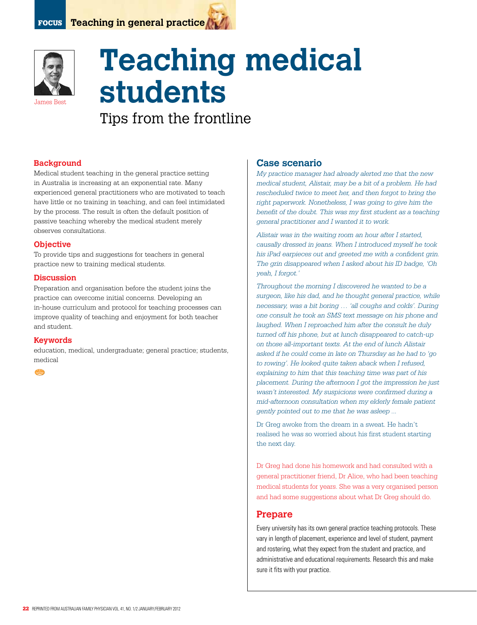



# **Teaching medical students**

Tips from the frontline

# **Background**

Medical student teaching in the general practice setting in Australia is increasing at an exponential rate. Many experienced general practitioners who are motivated to teach have little or no training in teaching, and can feel intimidated by the process. The result is often the default position of passive teaching whereby the medical student merely observes consultations.

## **Objective**

To provide tips and suggestions for teachers in general practice new to training medical students.

## **Discussion**

Preparation and organisation before the student joins the practice can overcome initial concerns. Developing an in-house curriculum and protocol for teaching processes can improve quality of teaching and enjoyment for both teacher and student.

## **Keywords**

education, medical, undergraduate; general practice; students, medical

西西

# **Case scenario**

*My practice manager had already alerted me that the new medical student, Alistair, may be a bit of a problem. He had rescheduled twice to meet her, and then forgot to bring the right paperwork. Nonetheless, I was going to give him the benefit of the doubt. This was my first student as a teaching general practitioner and I wanted it to work.* 

*Alistair was in the waiting room an hour after I started, causally dressed in jeans. When I introduced myself he took his iPad earpieces out and greeted me with a confident grin. The grin disappeared when I asked about his ID badge, 'Oh yeah, I forgot.'* 

*Throughout the morning I discovered he wanted to be a surgeon, like his dad, and he thought general practice, while necessary, was a bit boring … 'all coughs and colds'. During one consult he took an SMS text message on his phone and laughed. When I reproached him after the consult he duly turned off his phone, but at lunch disappeared to catch-up on those all-important texts. At the end of lunch Alistair asked if he could come in late on Thursday as he had to 'go to rowing'. He looked quite taken aback when I refused, explaining to him that this teaching time was part of his placement. During the afternoon I got the impression he just wasn't interested. My suspicions were confirmed during a mid-afternoon consultation when my elderly female patient gently pointed out to me that he was asleep ...*

Dr Greg awoke from the dream in a sweat. He hadn't realised he was so worried about his first student starting the next day.

Dr Greg had done his homework and had consulted with a general practitioner friend, Dr Alice, who had been teaching medical students for years. She was a very organised person and had some suggestions about what Dr Greg should do.

# **Prepare**

Every university has its own general practice teaching protocols. These vary in length of placement, experience and level of student, payment and rostering, what they expect from the student and practice, and administrative and educational requirements. Research this and make sure it fits with your practice.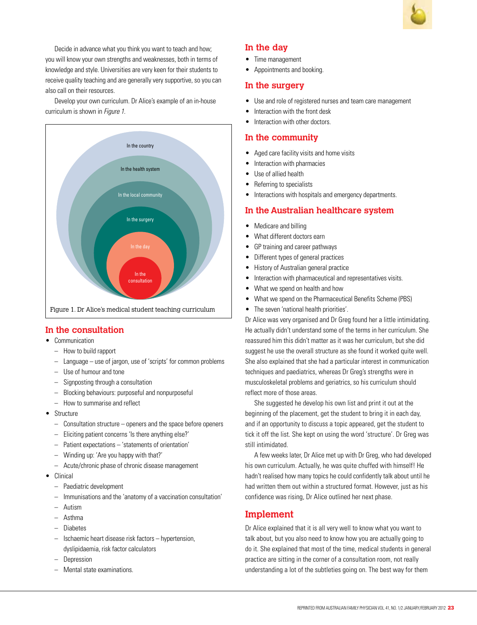

Decide in advance what you think you want to teach and how; you will know your own strengths and weaknesses, both in terms of knowledge and style. Universities are very keen for their students to receive quality teaching and are generally very supportive, so you can also call on their resources.

Develop your own curriculum. Dr Alice's example of an in-house curriculum is shown in *Figure 1*.



# **In the consultation**

- • Communication
	- How to build rapport
	- $-$  Language use of jargon, use of 'scripts' for common problems
	- Use of humour and tone
	- Signposting through a consultation
	- – Blocking behaviours: purposeful and nonpurposeful
	- How to summarise and reflect
- • Structure
	- $-$  Consultation structure  $-$  openers and the space before openers
	- – Eliciting patient concerns 'Is there anything else?'
	- – Patient expectations 'statements of orientation'
	- – Winding up: 'Are you happy with that?'
	- Acute/chronic phase of chronic disease management
- • Clinical
	- Paediatric development
	- – Immunisations and the 'anatomy of a vaccination consultation'
	- Autism
	- Asthma
	- – Diabetes
	- Ischaemic heart disease risk factors hypertension, dyslipidaemia, risk factor calculators
	- **Depression**
	- Mental state examinations.

# **In the day**

- Time management
- Appointments and booking.

# **In the surgery**

- Use and role of registered nurses and team care management
- Interaction with the front desk
- Interaction with other doctors.

# **In the community**

- • Aged care facility visits and home visits
- Interaction with pharmacies
- Use of allied health
- Referring to specialists
- Interactions with hospitals and emergency departments.

# **In the Australian healthcare system**

- Medicare and billing
- What different doctors earn
- GP training and career pathways
- • Different types of general practices
- History of Australian general practice
- Interaction with pharmaceutical and representatives visits.
- What we spend on health and how
- What we spend on the Pharmaceutical Benefits Scheme (PBS)
- The seven 'national health priorities'.

Dr Alice was very organised and Dr Greg found her a little intimidating. He actually didn't understand some of the terms in her curriculum. She reassured him this didn't matter as it was her curriculum, but she did suggest he use the overall structure as she found it worked quite well. She also explained that she had a particular interest in communication techniques and paediatrics, whereas Dr Greg's strengths were in musculoskeletal problems and geriatrics, so his curriculum should reflect more of those areas.

She suggested he develop his own list and print it out at the beginning of the placement, get the student to bring it in each day, and if an opportunity to discuss a topic appeared, get the student to tick it off the list. She kept on using the word 'structure'. Dr Greg was still intimidated.

A few weeks later, Dr Alice met up with Dr Greg, who had developed his own curriculum. Actually, he was quite chuffed with himself! He hadn't realised how many topics he could confidently talk about until he had written them out within a structured format. However, just as his confidence was rising, Dr Alice outlined her next phase.

# **Implement**

Dr Alice explained that it is all very well to know what you want to talk about, but you also need to know how you are actually going to do it. She explained that most of the time, medical students in general practice are sitting in the corner of a consultation room, not really understanding a lot of the subtleties going on. The best way for them